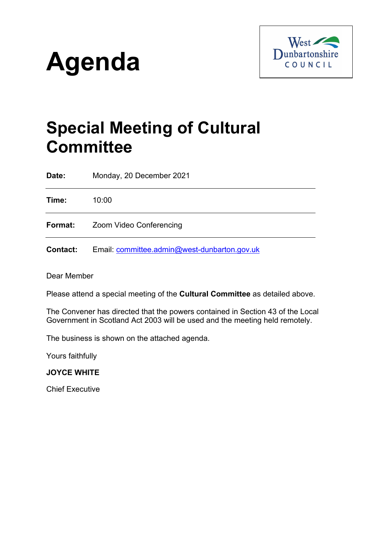



# **Special Meeting of Cultural Committee**

**Date:** Monday, 20 December 2021

**Time:** 10:00

**Format:** Zoom Video Conferencing

**Contact:** Email: [committee.admin@west-dunbarton.gov.uk](mailto:committee.admin@west-dunbarton.gov.uk)

Dear Member

Please attend a special meeting of the **Cultural Committee** as detailed above.

The Convener has directed that the powers contained in Section 43 of the Local Government in Scotland Act 2003 will be used and the meeting held remotely.

The business is shown on the attached agenda.

Yours faithfully

**JOYCE WHITE**

Chief Executive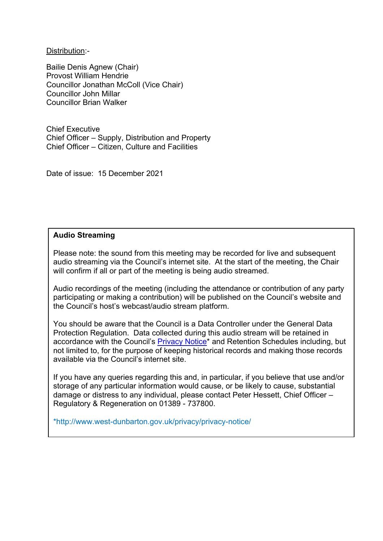Distribution:-

Bailie Denis Agnew (Chair) Provost William Hendrie Councillor Jonathan McColl (Vice Chair) Councillor John Millar Councillor Brian Walker

Chief Executive Chief Officer – Supply, Distribution and Property Chief Officer – Citizen, Culture and Facilities

Date of issue: 15 December 2021

## **Audio Streaming**

Please note: the sound from this meeting may be recorded for live and subsequent audio streaming via the Council's internet site. At the start of the meeting, the Chair will confirm if all or part of the meeting is being audio streamed.

Audio recordings of the meeting (including the attendance or contribution of any party participating or making a contribution) will be published on the Council's website and the Council's host's webcast/audio stream platform.

You should be aware that the Council is a Data Controller under the General Data Protection Regulation. Data collected during this audio stream will be retained in accordance with the Council's [Privacy Notice\\*](http://www.west-dunbarton.gov.uk/privacy/privacy-notice/) and Retention Schedules including, but not limited to, for the purpose of keeping historical records and making those records available via the Council's internet site.

If you have any queries regarding this and, in particular, if you believe that use and/or storage of any particular information would cause, or be likely to cause, substantial damage or distress to any individual, please contact Peter Hessett, Chief Officer – Regulatory & Regeneration on 01389 - 737800.

\*http://www.west-dunbarton.gov.uk/privacy/privacy-notice/